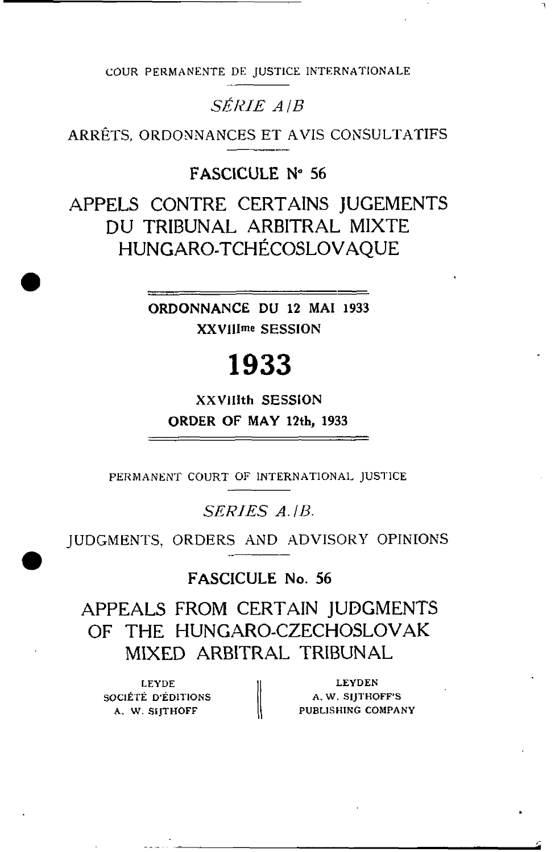COUR **PEKMANENTE** DE JUSTICE INTERNATIONALE

## *SÉRIE A* |**B**

ARRÉTS, ORDONNANCES ET **AVIS** CONSULTATIFS

### **FASCICULE Ne 56**

APPELS CONTRE CERTAINS JUGEMENTS **DU** TRIBUNAL **ARBITRAL** MIXTE HUNGARO-TCHÉCOSLOVAQUE

> **ORDONNANCE DU 12 MAI 1933 XXVlIIme SESSION**

# 1933

**XXVlIith SESSiON ORDER OF MAY 12th, 1933** 

**PERMANENT** COURT **OF INTERNATIONAI,** JUSI7ICE

### SERIES A.IB.

JUDGMENTS, ORDERS AND ADVISORY OPINIONS

**FASCICULE No. 56** 

APPEALS FROM CERTAIN JUDGMENTS OF THE HUNCARO-CZECHOSLOVAK MIXED **ARBITRAL** TRIBUNAL

**LEYDE** SOCIÉTE D'ÉDITIONS  $\parallel$  A. W. SIJTHOFF'S

LEYDE<br>ICIÉTE D'ÉDITIONS A. W. SIJTHOFF'S<br>A. W. SIJTHOFF PUBLISHING COMPANY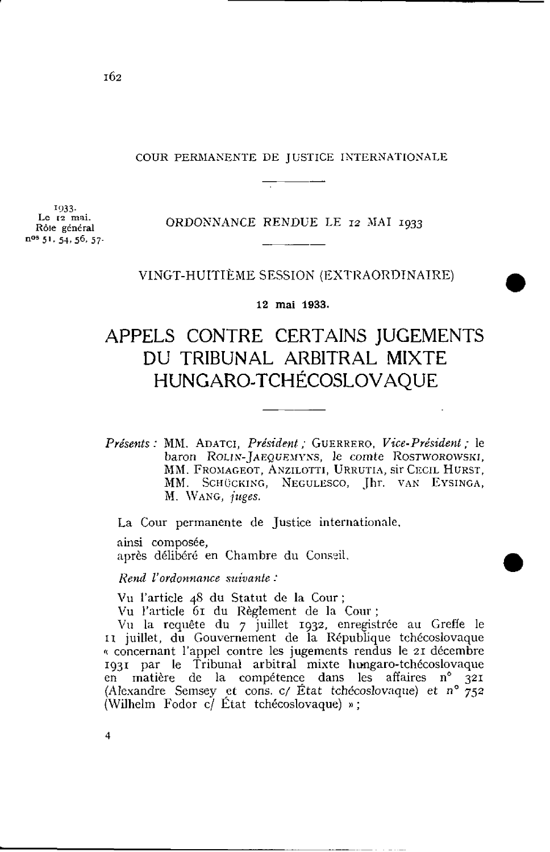# COUR PERAIAKENTE DE J USTICE IXTERNATIOXALE rice i

**'933. Le 12** mai. **R61e général n<sup>os</sup>** 51, 54, 56, 57.

#### ORDOSNANCE RENDUE LE **12 BIAI 1933**

#### VINGT-HUITIÈME SESSION (EXTRAORDINAIRE)

**12 mai 1933.** 

## APPELS CONTRE CERTAINS JUGEMENTS DU TRIBUNAL ARBITRAL MIXTE HUNGARO-TCHÉCOSLOVAQUE

*Présents* : MM. **ADATCI,** *Président* ; GUERRERO, Vice-Président ; le baron ROLIN-JAEQUEMYNS, le comte ROSTWOROWSKI, **MM. FROMAGEOT, ANZILOTTI, URRUTIA, SIT CECIL HURST,** MM. SCHÜCKING, NEGULESCO, Jhr. VAN EYSINGA, **hl.** \YANG, *juges.* 

La Cour permanente de Justice internationale,

ainsi composée,

après délibéré en Chambre du Conseil.

*Rend IJordon~in?tce suivante* :

Vu l'article 48 du Statut de la Cour ;

Vu l'article **GI** du Règlement de la **Cour** ;

Vil la requête du 7 juillet **1932,** enregistrée au Greffe le 11 juillet, du Gouvernement de la République tchécoslovaque (( concernant l'appel contre les jugements rendus le **21** décembre **193r** paf, le Tribunal arbitral mixte hungaro-tchécoslovaque en matiere de la compétence dans les affaires **no 321**  (Alexandre Sernsey **et** cons. *c/* État tchécos1ovaqiie) et *no* 752 (Wilhelm Fodor c/ État tchécoslovaque) »;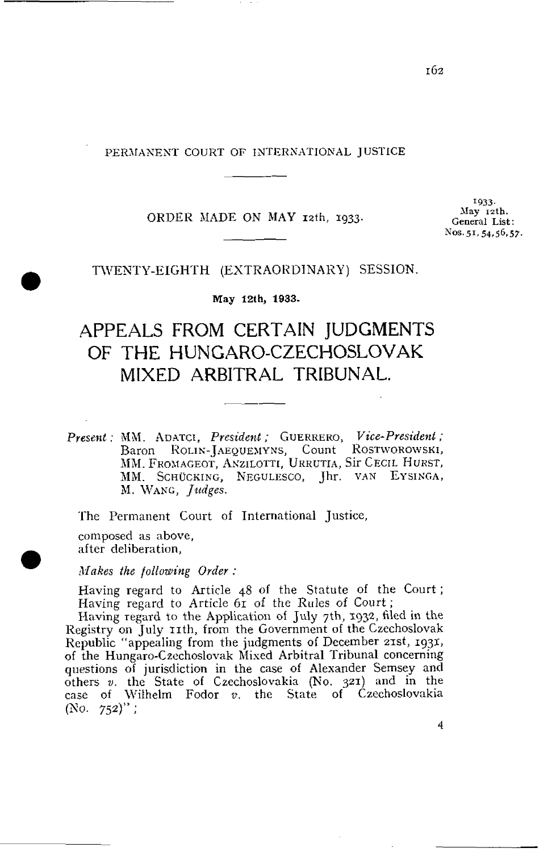PERMANENT COURT OF INTERNATIONAL JUSTICE

#### ORDER MADE ON MAY 12th, 1933.

**1933. General List:**<br>Nos. 51, 54, 56, 57. -- **Nos. 51,54,56.57.** 

#### TWENTY-EIGHTH (EXTRAORDINARY) SESSION.

**May 12t h, 1933.** 

# APPEALS FROM CERTAlN JUDGMENTS OF THE HUNGARO-CZECHOSLOVAK MIXED ARBITRAL TRIBUNAL.

*Prese~zt* : MN. **AUATCI,** *President* ; GUERRERO, *Vice-President* ; Baron **~OLI~'-~AEQUËX~YNS,** Count KOST~ORO~SKI, MM. FROMAGEOT, ANZILOTTI, URRUTIA, SIT CECIL HURST, MM. SCHÜCKING, NEGULESCO, Jhr. VAN EYSINGA, M. WANG, *Judges*.

The Permanent Court of International Justice, composed as above, after deliberation,

**Mnkes** *Ihe following Order* :

Having regard to Article 48 of the Statute of the Court ; Having regard to Article 61 of the Rules of Court ;

Having regard to the Application of July 7th, **1932**, filed in the Registry on July 11th, from the Government of the Czechoslovak Republic "appealing from the judgments of December zxst, **1931,**  of the Hungaro-Czechoslovak hlised Arbitral Tribunal concerning questions of juriçdiction in the case of Alexander Semsey and others **v.** the State of Czechoslovakia (No. **321)** and in the case of Wilhelm Fodor  $v$ , the State of Czechoslovakia  $(No. 752)$ ";

4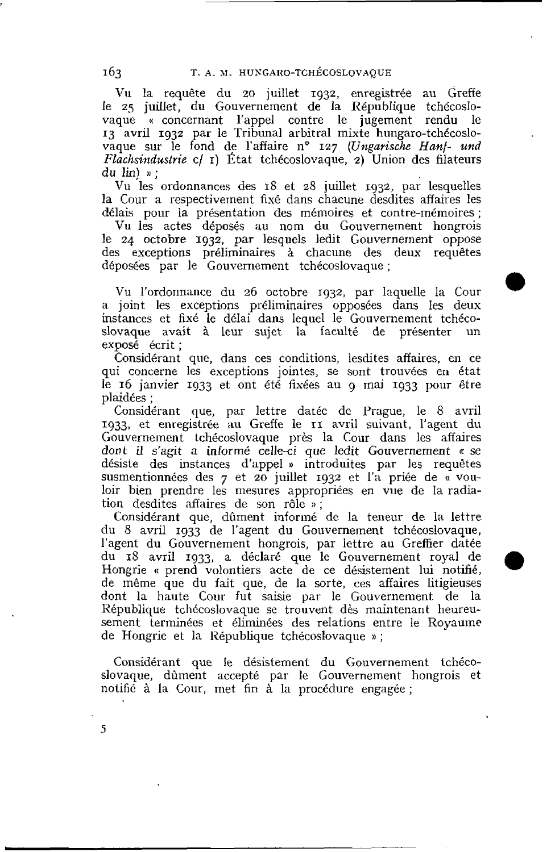Vu la requête du 20 juillet 1932, enregistrée au Greffe le **25** juillet, du Gouvernement de la République tchécosIovaque « concernant l'appel contre le jugement rendu le **13** avril 1932 par le 'Tribunal arbitral mixte hungaro-tchécoslovaque sur le fond de l'affaire n° 127 *(Ungarische Hanf- und* Fiachsindustrie cl **r)** État tchécoslovaque, **2)** Union des filateurs du lin) **n** ;

Vu les ordonnances des 18 et 28 juillet 1932, par lesquelles la Cour a respectivement fixé dans chacune desdites affaires les délais pour la présentation des mérnoires et contre-mémoires ;

Vu les actes déposés au nom du Gouvernement hongrois **le** 24 octobre 1932, par lesquels ledit Gouvernement oppose des exceptions préliminaires à chacune des deux requêtes dépoges par le Gouvernement tchécoslovaque ;

Vu l'ordonnance du 26 octobre 1932, par laquelle la Cour a joint les exceptions préliminaires opposées dans les deus instances et fixé le délai dans Iequel le Gouvernement tchécoslovaque avait à leur sujet la faculté de présenter un expoçé écrit ;

Considérant que, dans ces conditions, lesdites affaires, en *ce*  qui concerne les exceptions jointes, se sont trouvées en état le **16** janvier **1933** et ont été fixées au 9 mai **1933** pour être plaidées ;

Considérant que, par lettre datée de Prague, le 8 avril **1933,** et enregistrée au Greffe le **II** avril suivant, l'agent du Gouvernement tchécoslovaque près la Cour dans les affaires dont il s'agit a informé celle-ci que ledit Gouvernement « se désiste des instances d'appel » introduites par les requêtes susmentionnées des 7 et **20** juillet **1932** et l'a priée de « vouloir bien prendre les mesures appropriées en vue de la radiation desdites affaires de son rôle » ;

Considérant que, dûment informé de la teneur de la lettre du 8 avril **1933** de l'agent du Gouvernement tchécoslovaque, l'agent du Gouvernement hongrois, par lettre au Greffier datée du **18** avril **1933,** a déclaré que le Gouvernement royal de Hongrie « prend volontiers acte de ce désistement lui notifié, de même que du fait que, de la sorte, ces affaires litigieuses dont la haute Cour fut saisie par le Gouvernement de la République tchécoslovaque se trouvent dès maintenant heureusement terminées et éliminées des relations entre le Royaume de Hongrie et la République tchécoslovaque » ;

Considérant que Ie désistement du Gouvernement tchécoslovaque, dùrnent accepté par le Gouvernement hongrois et notifié à la Cour, met fin à la procédure engagée ;

163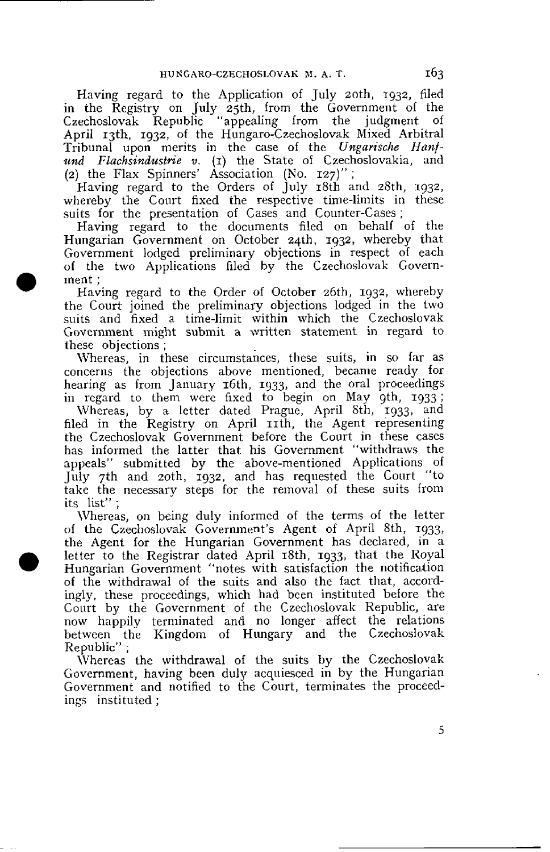Having regard to the Application of July zoth, **1932,** filed in the Registry on July 25th, from the Government of the Czechoslovak Republic "appealing from the judgment of April xjth, **1932,** of the Hungaro-Czechoslovak Mixed Arbitral Tribunal upon merits in the case of the *Ungarische Hanf***und** *Flachsindustrie* **v. (1)** the State of Czechoslovakia, and An *Flat Spinners'* 8. (1) the State of Execute 2) the Flax Spinners' Association (No. 127)";

Having regard to the Orders of July 18th and zBth, **1932,**  whereby the Court fixed the respective time-limits in these suits for the presentation of Cases and Counter-Cases;

Having regard to the documents filed on behalf of the Hungarian Government on October 24th, 1932, whereby that Fovernment lodged preliminary objections in respect of each of the two Applications filed by the Czechoslovak Government ;

Having regard to the Order of October zGth, **1932,** whereby the Court joined the preliminary objections lodged in the two suits and fixed a time-limit within which the Czechoslovak Government might submit a written statement in regard to these objections ;

Whereas, in these circumstances, these suits, in so far as concerns the objections above mentioned, became ready for hearing as from January 16th, **1933,** and the oral proceedings in regard to them were fixed to begin on May gth, 1933;

Whereas, by a letter dated Prague, April Eth, '933, and filed in the Registry on April 11th, the Agent representing the Czechoslovak Government before the Court in these cases has informed the latter that his Government "withdraws the appeals" submitted by the above-mentioned Applications of July 7th and zoth, **1932,** and has requested the Court "to rake the necessary steps for the removal of these suits from the list";

Whereas, on being duly informed of the terms of the letter of the Czechoslovak Government's Agent of April 8th, **1933,**  the Agent for the Hungarian Government has declared, in a letter to the Registrar dated April 18th, **1933,** that the Royal Hungarian Government "notes with satisfaction the notification of the withdrawal of the suits and also the fact that, accordingly, these proceedings, which had been instituted before the Court by the Government of the Czechoslovak Republic, are now happily terminated and no longer affect the relations betweeri the Kingdom of Hungary and the Czechoslovak Republic" ;

IVhereas the withdrawal of the suits by the Czechoslovak Government, having been duly acquiesced in by the Hungarian Government and notified to the Court, terminates the proceedings instituted ;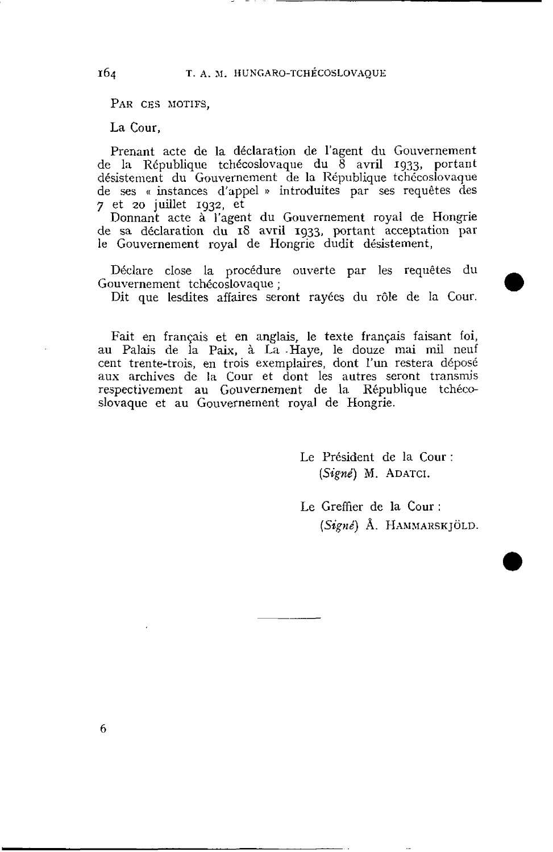PAR CES MOTIFS.

La Cour,

Prenant acte de la déclaration de l'agent du Gouvernement de la République tchécoslovaque du  $\bar{8}$  avril 1933, portant désistement du Gouvernement de la République tchécoslovaque de ses « instances d'appel » introduites par ses requêtes des 7 et *zo* juillet **1932,** et

Donnant acte à l'agent du Gouvernement royal de Hongrie de sa déclaration du **18** avril **1933,** portant acceptation par le Gouvernement royal de Hongrie dudit désistement,

Déclare close la procédure ouverte par les requêtes du Gouvernement tchécoslovaque ;

Dit que lesdites affaires seront rayées du rôle de la Cour.

Fait en français et en anglais, le texte français faisant foi, au Palais de la Paix, à La -Haye, le douze mai mil neuf cent trente-trois, en trois exemplaires, dont l'un restera déposé aux archives de la Cour et dont les autres seront transmjs respectivement au Gouvernement de la République tchécoslovaque et au Gouvernement royal de Hongrie.

> Le Président de la Cour : **(Signé)** M. **ADATCI.**

Le Greffier de la Cour : (Signé) Å. HAMMARSKJÖLD.

164